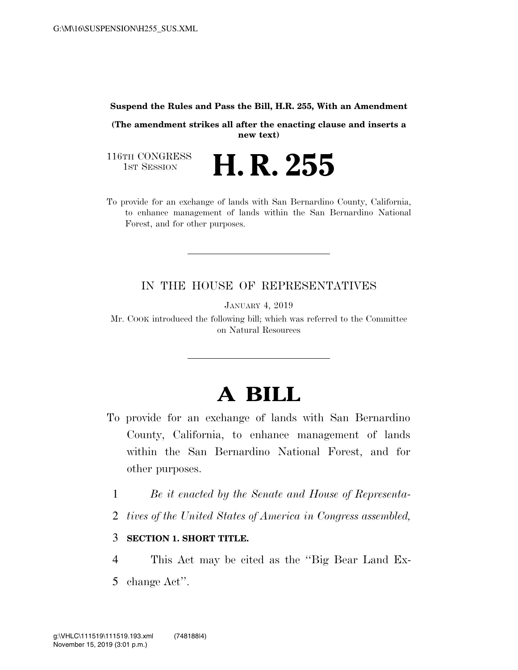#### **Suspend the Rules and Pass the Bill, H.R. 255, With an Amendment**

**(The amendment strikes all after the enacting clause and inserts a new text)** 

116TH CONGRESS<br>1st Session

**H. R. 255** 

To provide for an exchange of lands with San Bernardino County, California, to enhance management of lands within the San Bernardino National Forest, and for other purposes.

### IN THE HOUSE OF REPRESENTATIVES

JANUARY 4, 2019

Mr. COOK introduced the following bill; which was referred to the Committee on Natural Resources

# **A BILL**

- To provide for an exchange of lands with San Bernardino County, California, to enhance management of lands within the San Bernardino National Forest, and for other purposes.
	- 1 *Be it enacted by the Senate and House of Representa-*
	- 2 *tives of the United States of America in Congress assembled,*

#### 3 **SECTION 1. SHORT TITLE.**

4 This Act may be cited as the ''Big Bear Land Ex-5 change Act''.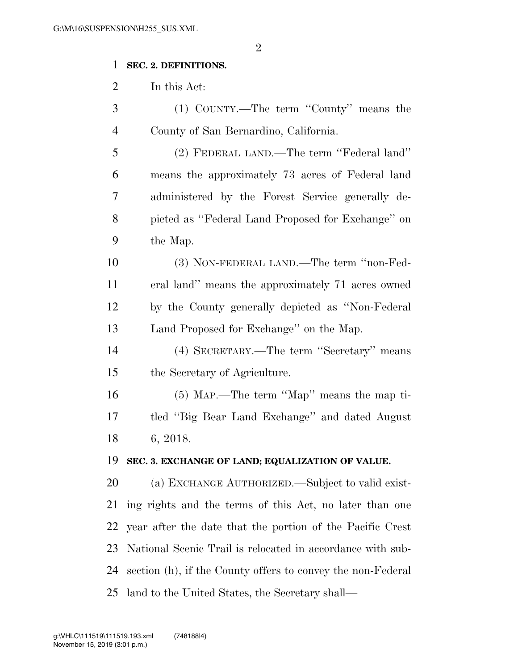## **SEC. 2. DEFINITIONS.**

In this Act:

| 3              | (1) COUNTY.—The term "County" means the                     |
|----------------|-------------------------------------------------------------|
| $\overline{4}$ | County of San Bernardino, California.                       |
| 5              | (2) FEDERAL LAND.—The term "Federal land"                   |
| 6              | means the approximately 73 acres of Federal land            |
| 7              | administered by the Forest Service generally de-            |
| 8              | picted as "Federal Land Proposed for Exchange" on           |
| 9              | the Map.                                                    |
| 10             | (3) NON-FEDERAL LAND.—The term "non-Fed-                    |
| 11             | eral land" means the approximately 71 acres owned           |
| 12             | by the County generally depicted as "Non-Federal"           |
| 13             | Land Proposed for Exchange" on the Map.                     |
| 14             | (4) SECRETARY.—The term "Secretary" means                   |
| 15             | the Secretary of Agriculture.                               |
| 16             | (5) MAP.—The term "Map" means the map ti-                   |
| 17             | tled "Big Bear Land Exchange" and dated August              |
| 18             | 6, 2018.                                                    |
| 19             | SEC. 3. EXCHANGE OF LAND; EQUALIZATION OF VALUE.            |
| <b>20</b>      | (a) EXCHANGE AUTHORIZED.—Subject to valid exist-            |
| 21             | ing rights and the terms of this Act, no later than one     |
| 22             | year after the date that the portion of the Pacific Crest   |
| 23             | National Scenic Trail is relocated in accordance with sub-  |
| 24             | section (h), if the County offers to convey the non-Federal |
|                |                                                             |

land to the United States, the Secretary shall—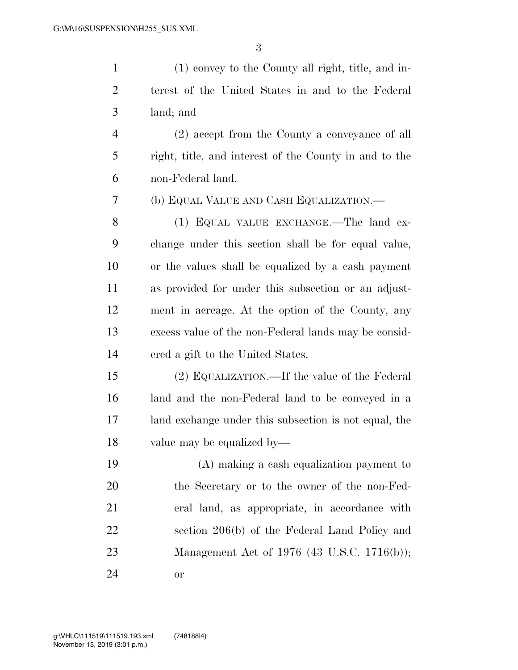(1) convey to the County all right, title, and in- terest of the United States in and to the Federal land; and

 (2) accept from the County a conveyance of all right, title, and interest of the County in and to the non-Federal land.

(b) EQUAL VALUE AND CASH EQUALIZATION.—

8 (1) EQUAL VALUE EXCHANGE.—The land ex- change under this section shall be for equal value, or the values shall be equalized by a cash payment as provided for under this subsection or an adjust- ment in acreage. At the option of the County, any excess value of the non-Federal lands may be consid-ered a gift to the United States.

 (2) EQUALIZATION.—If the value of the Federal land and the non-Federal land to be conveyed in a land exchange under this subsection is not equal, the value may be equalized by—

 (A) making a cash equalization payment to the Secretary or to the owner of the non-Fed- eral land, as appropriate, in accordance with section 206(b) of the Federal Land Policy and Management Act of 1976 (43 U.S.C. 1716(b)); or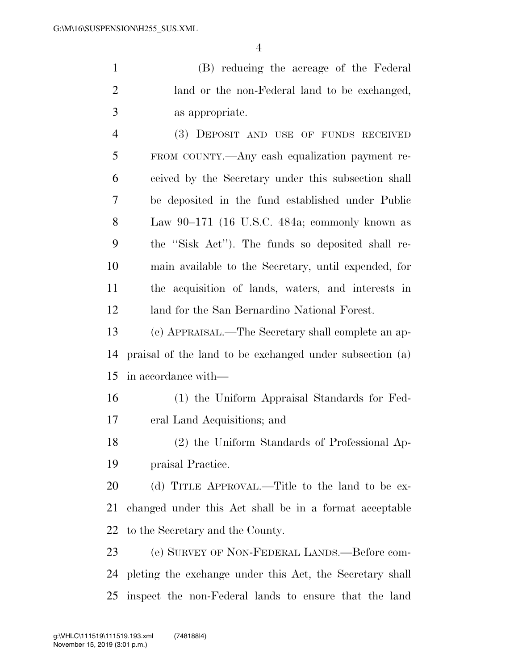(B) reducing the acreage of the Federal land or the non-Federal land to be exchanged, as appropriate.

 (3) DEPOSIT AND USE OF FUNDS RECEIVED FROM COUNTY.—Any cash equalization payment re- ceived by the Secretary under this subsection shall be deposited in the fund established under Public Law 90–171 (16 U.S.C. 484a; commonly known as the ''Sisk Act''). The funds so deposited shall re- main available to the Secretary, until expended, for the acquisition of lands, waters, and interests in land for the San Bernardino National Forest.

 (c) APPRAISAL.—The Secretary shall complete an ap- praisal of the land to be exchanged under subsection (a) in accordance with—

 (1) the Uniform Appraisal Standards for Fed-eral Land Acquisitions; and

 (2) the Uniform Standards of Professional Ap-praisal Practice.

20 (d) TITLE APPROVAL.—Title to the land to be ex- changed under this Act shall be in a format acceptable to the Secretary and the County.

 (e) SURVEY OF NON-FEDERAL LANDS.—Before com- pleting the exchange under this Act, the Secretary shall inspect the non-Federal lands to ensure that the land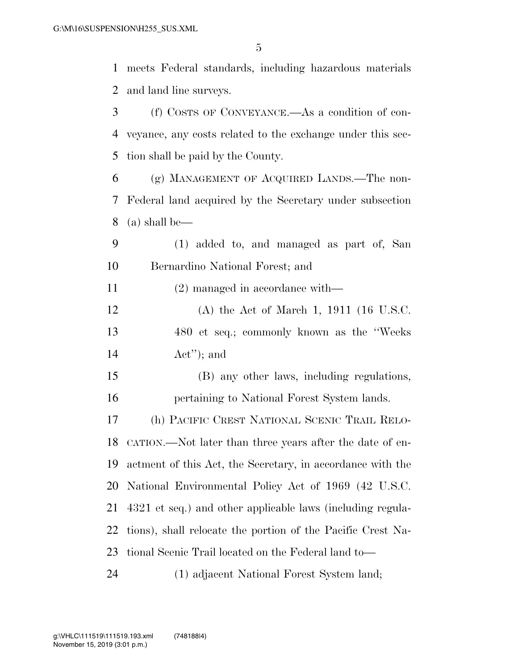meets Federal standards, including hazardous materials and land line surveys.

 (f) COSTS OF CONVEYANCE.—As a condition of con- veyance, any costs related to the exchange under this sec- tion shall be paid by the County. (g) MANAGEMENT OF ACQUIRED LANDS.—The non- Federal land acquired by the Secretary under subsection (a) shall be— (1) added to, and managed as part of, San Bernardino National Forest; and (2) managed in accordance with— (A) the Act of March 1, 1911 (16 U.S.C. 480 et seq.; commonly known as the ''Weeks Act''); and (B) any other laws, including regulations, pertaining to National Forest System lands. (h) PACIFIC CREST NATIONAL SCENIC TRAIL RELO- CATION.—Not later than three years after the date of en- actment of this Act, the Secretary, in accordance with the National Environmental Policy Act of 1969 (42 U.S.C. 4321 et seq.) and other applicable laws (including regula- tions), shall relocate the portion of the Pacific Crest Na- tional Scenic Trail located on the Federal land to— (1) adjacent National Forest System land;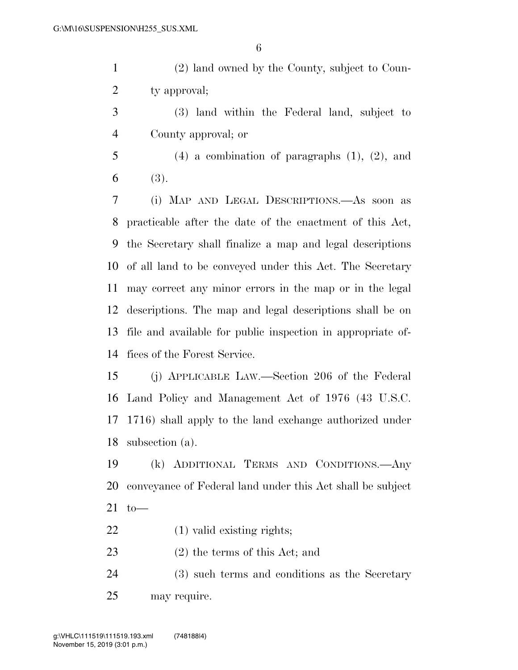(2) land owned by the County, subject to Coun-2 ty approval;

 (3) land within the Federal land, subject to County approval; or

 (4) a combination of paragraphs (1), (2), and 6 (3).

 (i) MAP AND LEGAL DESCRIPTIONS.—As soon as practicable after the date of the enactment of this Act, the Secretary shall finalize a map and legal descriptions of all land to be conveyed under this Act. The Secretary may correct any minor errors in the map or in the legal descriptions. The map and legal descriptions shall be on file and available for public inspection in appropriate of-fices of the Forest Service.

 (j) APPLICABLE LAW.—Section 206 of the Federal Land Policy and Management Act of 1976 (43 U.S.C. 1716) shall apply to the land exchange authorized under subsection (a).

 (k) ADDITIONAL TERMS AND CONDITIONS.—Any conveyance of Federal land under this Act shall be subject to—

22 (1) valid existing rights;

- (2) the terms of this Act; and
- (3) such terms and conditions as the Secretary may require.